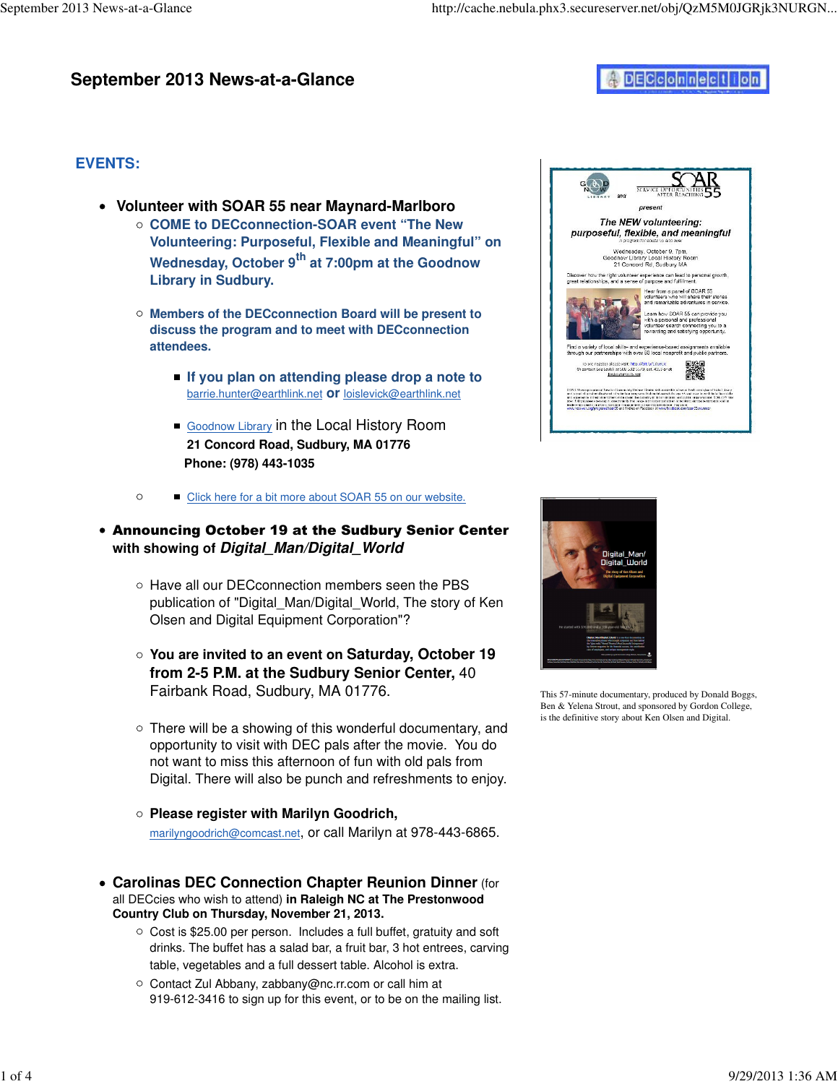## **September 2013 News-at-a-Glance**

# DECconnection

## **EVENTS:**

- **Volunteer with SOAR 55 near Maynard-Marlboro**
	- **COME to DECconnection-SOAR event "The New Volunteering: Purposeful, Flexible and Meaningful" on Wednesday, October 9th at 7:00pm at the Goodnow Library in Sudbury.**
	- **Members of the DECconnection Board will be present to discuss the program and to meet with DECconnection attendees.** 
		- **If you plan on attending please drop a note to** barrie.hunter@earthlink.net **or** loislevick@earthlink.net
		- Goodnow Library in the Local History Room **21 Concord Road, Sudbury, MA 01776 Phone: (978) 443-1035**
	- $\circ$ Click here for a bit more about SOAR 55 on our website.

## Announcing October 19 at the Sudbury Senior Center **with showing of Digital\_Man/Digital\_World**

- Have all our DECconnection members seen the PBS publication of "Digital\_Man/Digital\_World, The story of Ken Olsen and Digital Equipment Corporation"?
- **You are invited to an event on Saturday, October 19 from 2-5 P.M. at the Sudbury Senior Center,** 40 Fairbank Road, Sudbury, MA 01776.
- $\circ$  There will be a showing of this wonderful documentary, and opportunity to visit with DEC pals after the movie. You do not want to miss this afternoon of fun with old pals from Digital. There will also be punch and refreshments to enjoy.
- **Please register with Marilyn Goodrich,** marilyngoodrich@comcast.net, or call Marilyn at 978-443-6865.
- **Carolinas DEC Connection Chapter Reunion Dinner** (for all DECcies who wish to attend) **in Raleigh NC at The Prestonwood Country Club on Thursday, November 21, 2013.**
	- $\circ$  Cost is \$25.00 per person. Includes a full buffet, gratuity and soft drinks. The buffet has a salad bar, a fruit bar, 3 hot entrees, carving table, vegetables and a full dessert table. Alcohol is extra.
	- Contact Zul Abbany, zabbany@nc.rr.com or call him at 919-612-3416 to sign up for this event, or to be on the mailing list.





This 57-minute documentary, produced by Donald Boggs, Ben & Yelena Strout, and sponsored by Gordon College, is the definitive story about Ken Olsen and Digital.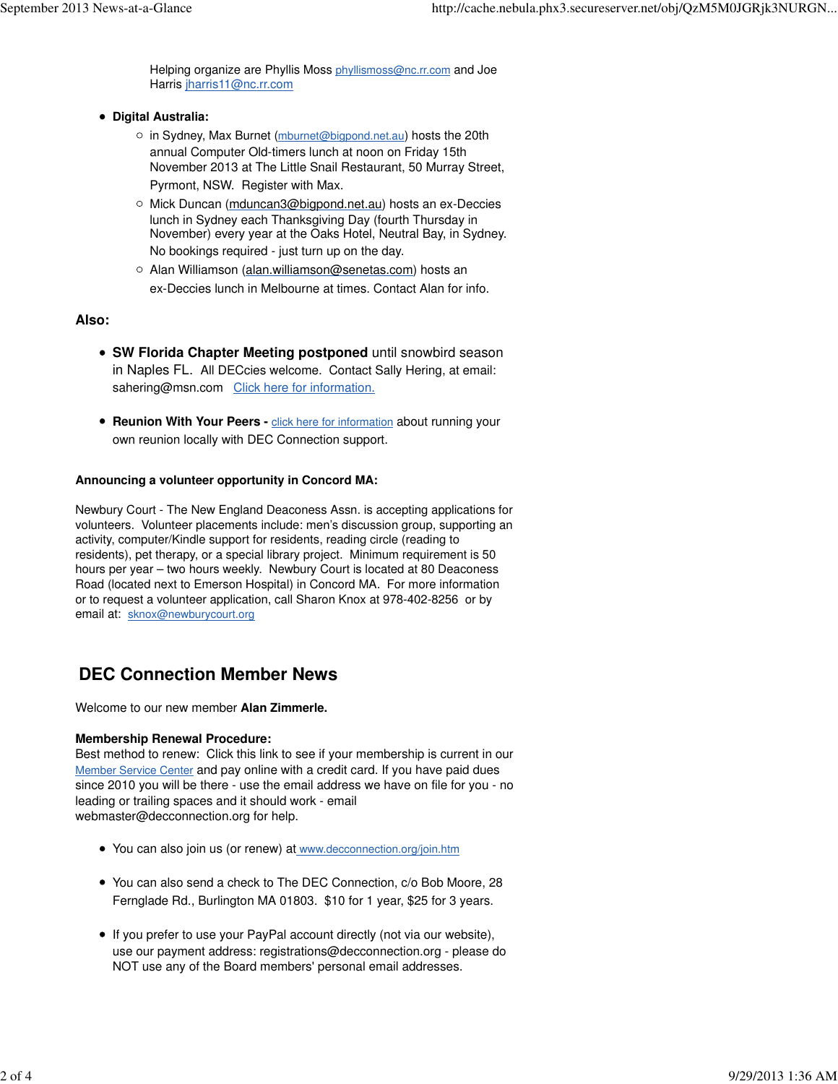Helping organize are Phyllis Moss phyllismoss@nc.rr.com and Joe Harris jharris11@nc.rr.com

- **Digital Australia:** 
	- o in Sydney, Max Burnet (mburnet@bigpond.net.au) hosts the 20th annual Computer Old-timers lunch at noon on Friday 15th November 2013 at The Little Snail Restaurant, 50 Murray Street, Pyrmont, NSW. Register with Max.
	- o Mick Duncan (mduncan3@bigpond.net.au) hosts an ex-Deccies lunch in Sydney each Thanksgiving Day (fourth Thursday in November) every year at the Oaks Hotel, Neutral Bay, in Sydney. No bookings required - just turn up on the day.
	- o Alan Williamson (alan.williamson@senetas.com) hosts an ex-Deccies lunch in Melbourne at times. Contact Alan for info.

### **Also:**

- **SW Florida Chapter Meeting postponed** until snowbird season in Naples FL. All DECcies welcome. Contact Sally Hering, at email: sahering@msn.com Click here for information.
- **Reunion With Your Peers -** *click here for information***</u> about running your** own reunion locally with DEC Connection support.

#### **Announcing a volunteer opportunity in Concord MA:**

Newbury Court - The New England Deaconess Assn. is accepting applications for volunteers. Volunteer placements include: men's discussion group, supporting an activity, computer/Kindle support for residents, reading circle (reading to residents), pet therapy, or a special library project. Minimum requirement is 50 hours per year – two hours weekly. Newbury Court is located at 80 Deaconess Road (located next to Emerson Hospital) in Concord MA. For more information or to request a volunteer application, call Sharon Knox at 978-402-8256 or by email at: sknox@newburycourt.org

## **DEC Connection Member News**

Welcome to our new member **Alan Zimmerle.**

### **Membership Renewal Procedure:**

Best method to renew: Click this link to see if your membership is current in our Member Service Center and pay online with a credit card. If you have paid dues since 2010 you will be there - use the email address we have on file for you - no leading or trailing spaces and it should work - email webmaster@decconnection.org for help.

- You can also join us (or renew) at www.decconnection.org/join.htm
- You can also send a check to The DEC Connection, c/o Bob Moore, 28 Fernglade Rd., Burlington MA 01803. \$10 for 1 year, \$25 for 3 years.
- If you prefer to use your PayPal account directly (not via our website), use our payment address: registrations@decconnection.org - please do NOT use any of the Board members' personal email addresses.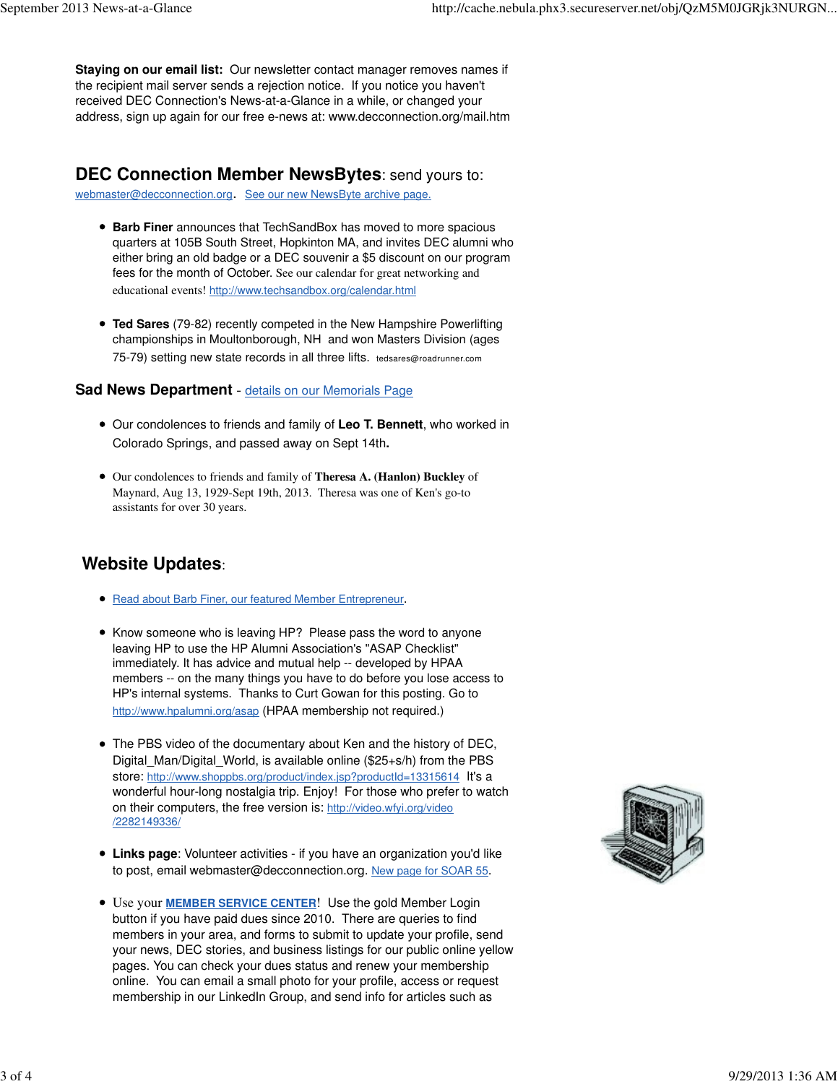**Staying on our email list:** Our newsletter contact manager removes names if the recipient mail server sends a rejection notice. If you notice you haven't received DEC Connection's News-at-a-Glance in a while, or changed your address, sign up again for our free e-news at: www.decconnection.org/mail.htm

## **DEC Connection Member NewsBytes**: send yours to:

webmaster@decconnection.org. See our new NewsByte archive page.

- **Barb Finer** announces that TechSandBox has moved to more spacious quarters at 105B South Street, Hopkinton MA, and invites DEC alumni who either bring an old badge or a DEC souvenir a \$5 discount on our program fees for the month of October. See our calendar for great networking and educational events! http://www.techsandbox.org/calendar.html
- **Ted Sares** (79-82) recently competed in the New Hampshire Powerlifting championships in Moultonborough, NH and won Masters Division (ages 75-79) setting new state records in all three lifts. tedsares@roadrunner.com

### **Sad News Department** - details on our Memorials Page

- Our condolences to friends and family of **Leo T. Bennett**, who worked in Colorado Springs, and passed away on Sept 14th**.**
- Our condolences to friends and family of **Theresa A. (Hanlon) Buckley** of Maynard, Aug 13, 1929-Sept 19th, 2013. Theresa was one of Ken's go-to assistants for over 30 years.

# **Website Updates**:

- Read about Barb Finer, our featured Member Entrepreneur.
- Know someone who is leaving HP? Please pass the word to anyone leaving HP to use the HP Alumni Association's "ASAP Checklist" immediately. It has advice and mutual help -- developed by HPAA members -- on the many things you have to do before you lose access to HP's internal systems. Thanks to Curt Gowan for this posting. Go to http://www.hpalumni.org/asap (HPAA membership not required.)
- The PBS video of the documentary about Ken and the history of DEC, Digital Man/Digital World, is available online (\$25+s/h) from the PBS store: http://www.shoppbs.org/product/index.jsp?productId=13315614 It's a wonderful hour-long nostalgia trip. Enjoy! For those who prefer to watch on their computers, the free version is: http://video.wfyi.org/video /2282149336/
- **Links page**: Volunteer activities if you have an organization you'd like to post, email webmaster@decconnection.org. New page for SOAR 55.
- Use your **MEMBER SERVICE CENTER**! Use the gold Member Login button if you have paid dues since 2010. There are queries to find members in your area, and forms to submit to update your profile, send your news, DEC stories, and business listings for our public online yellow pages. You can check your dues status and renew your membership online. You can email a small photo for your profile, access or request membership in our LinkedIn Group, and send info for articles such as